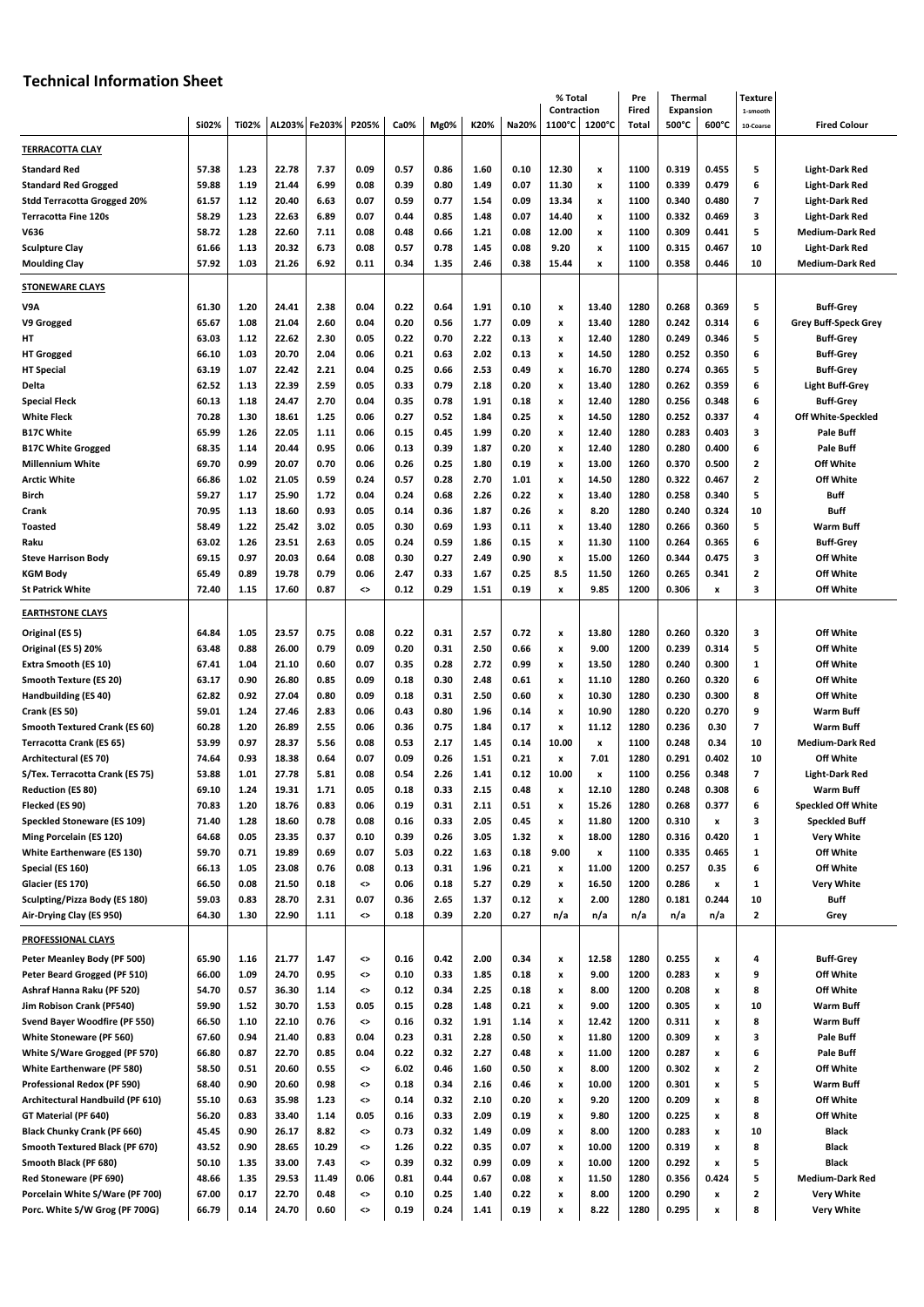## **Technical Information Sheet**

|                                      |       |       |        |        |          |      |      |      |             | % Total               |                | Pre            | <b>Thermal</b>            |       | Texture                 |                             |
|--------------------------------------|-------|-------|--------|--------|----------|------|------|------|-------------|-----------------------|----------------|----------------|---------------------------|-------|-------------------------|-----------------------------|
|                                      | Si02% | Ti02% | AL203% | Fe203% | P205%    | Ca0% | Mg0% | K20% | Na20%       | Contraction<br>1100°C | 1200°C         | Fired<br>Total | <b>Expansion</b><br>500°C | 600°C | 1-smooth                | <b>Fired Colour</b>         |
|                                      |       |       |        |        |          |      |      |      |             |                       |                |                |                           |       | 10-Coarse               |                             |
| <b>TERRACOTTA CLAY</b>               |       |       |        |        |          |      |      |      |             |                       |                |                |                           |       |                         |                             |
| <b>Standard Red</b>                  | 57.38 | 1.23  | 22.78  | 7.37   | 0.09     | 0.57 | 0.86 | 1.60 | 0.10        | 12.30                 | $\pmb{\times}$ | 1100           | 0.319                     | 0.455 | 5                       | <b>Light-Dark Red</b>       |
| <b>Standard Red Grogged</b>          | 59.88 | 1.19  | 21.44  | 6.99   | 0.08     | 0.39 | 0.80 | 1.49 | 0.07        | 11.30                 | x              | 1100           | 0.339                     | 0.479 | 6                       | <b>Light-Dark Red</b>       |
| <b>Stdd Terracotta Grogged 20%</b>   | 61.57 | 1.12  | 20.40  | 6.63   | 0.07     | 0.59 | 0.77 | 1.54 | 0.09        | 13.34                 | x              | 1100           | 0.340                     | 0.480 | 7                       | <b>Light-Dark Red</b>       |
| <b>Terracotta Fine 120s</b>          | 58.29 | 1.23  | 22.63  | 6.89   | 0.07     | 0.44 | 0.85 | 1.48 | 0.07        | 14.40                 | x              | 1100           | 0.332                     | 0.469 | з                       | <b>Light-Dark Red</b>       |
| V636                                 | 58.72 | 1.28  | 22.60  | 7.11   | 0.08     | 0.48 | 0.66 | 1.21 | 0.08        | 12.00                 | x              | 1100           | 0.309                     | 0.441 | 5                       | <b>Medium-Dark Red</b>      |
| <b>Sculpture Clay</b>                | 61.66 | 1.13  | 20.32  | 6.73   | 0.08     | 0.57 | 0.78 | 1.45 | 0.08        | 9.20                  | x              | 1100           | 0.315                     | 0.467 | 10                      | <b>Light-Dark Red</b>       |
| <b>Moulding Clay</b>                 | 57.92 | 1.03  | 21.26  | 6.92   | 0.11     | 0.34 | 1.35 | 2.46 | 0.38        | 15.44                 | X              | 1100           | 0.358                     | 0.446 | 10                      | <b>Medium-Dark Red</b>      |
|                                      |       |       |        |        |          |      |      |      |             |                       |                |                |                           |       |                         |                             |
| <b>STONEWARE CLAYS</b>               |       |       |        |        |          |      |      |      |             |                       |                |                |                           |       |                         |                             |
| V9A                                  | 61.30 | 1.20  | 24.41  | 2.38   | 0.04     | 0.22 | 0.64 | 1.91 | 0.10        | $\pmb{\mathsf{x}}$    | 13.40          | 1280           | 0.268                     | 0.369 | 5                       | <b>Buff-Grey</b>            |
| V9 Grogged                           | 65.67 | 1.08  | 21.04  | 2.60   | 0.04     | 0.20 | 0.56 | 1.77 | 0.09        | x                     | 13.40          | 1280           | 0.242                     | 0.314 | 6                       | <b>Grey Buff-Speck Grey</b> |
| HT                                   | 63.03 | 1.12  | 22.62  | 2.30   | 0.05     | 0.22 | 0.70 | 2.22 | 0.13        | x                     | 12.40          | 1280           | 0.249                     | 0.346 | 5                       | <b>Buff-Grey</b>            |
| <b>HT Grogged</b>                    | 66.10 | 1.03  | 20.70  | 2.04   | 0.06     | 0.21 | 0.63 | 2.02 | 0.13        | $\pmb{\mathsf{x}}$    | 14.50          | 1280           | 0.252                     | 0.350 | 6                       | <b>Buff-Grey</b>            |
| <b>HT Special</b>                    | 63.19 | 1.07  | 22.42  | 2.21   | 0.04     | 0.25 | 0.66 | 2.53 | 0.49        | x                     | 16.70          | 1280           | 0.274                     | 0.365 | 5                       | <b>Buff-Grey</b>            |
| Delta                                | 62.52 | 1.13  | 22.39  | 2.59   | 0.05     | 0.33 | 0.79 | 2.18 | 0.20        | x                     | 13.40          | 1280           | 0.262                     | 0.359 | 6                       | <b>Light Buff-Grey</b>      |
| <b>Special Fleck</b>                 | 60.13 | 1.18  | 24.47  | 2.70   | 0.04     | 0.35 | 0.78 | 1.91 | 0.18        | x                     | 12.40          | 1280           | 0.256                     | 0.348 | 6                       | <b>Buff-Grey</b>            |
| <b>White Fleck</b>                   | 70.28 | 1.30  | 18.61  | 1.25   | 0.06     | 0.27 | 0.52 | 1.84 | 0.25        | x                     | 14.50          | 1280           | 0.252                     | 0.337 | 4                       | Off White-Speckled          |
| <b>B17C White</b>                    | 65.99 | 1.26  | 22.05  | 1.11   | 0.06     | 0.15 | 0.45 | 1.99 | 0.20        | x                     | 12.40          | 1280           | 0.283                     | 0.403 | з                       | Pale Buff                   |
| <b>B17C White Grogged</b>            | 68.35 | 1.14  | 20.44  | 0.95   | 0.06     | 0.13 | 0.39 | 1.87 | 0.20        | x                     | 12.40          | 1280           | 0.280                     | 0.400 | 6                       | <b>Pale Buff</b>            |
| <b>Millennium White</b>              | 69.70 | 0.99  | 20.07  | 0.70   | 0.06     | 0.26 | 0.25 | 1.80 | 0.19        | x                     | 13.00          | 1260           | 0.370                     | 0.500 | 2                       | Off White                   |
| <b>Arctic White</b>                  | 66.86 | 1.02  | 21.05  | 0.59   | 0.24     | 0.57 | 0.28 | 2.70 | 1.01        | $\pmb{\mathsf{x}}$    | 14.50          | 1280           | 0.322                     | 0.467 | 2                       | Off White                   |
| Birch                                | 59.27 | 1.17  | 25.90  | 1.72   | 0.04     | 0.24 | 0.68 | 2.26 | 0.22        | x                     | 13.40          | 1280           | 0.258                     | 0.340 | 5                       | Buff                        |
| Crank                                | 70.95 | 1.13  | 18.60  | 0.93   | 0.05     | 0.14 | 0.36 | 1.87 | 0.26        | x                     | 8.20           | 1280           | 0.240                     | 0.324 | 10                      | Buff                        |
| <b>Toasted</b>                       | 58.49 | 1.22  | 25.42  | 3.02   | 0.05     | 0.30 | 0.69 | 1.93 | 0.11        | $\pmb{\mathsf{x}}$    | 13.40          | 1280           | 0.266                     | 0.360 | 5                       | <b>Warm Buff</b>            |
| Raku                                 | 63.02 | 1.26  | 23.51  | 2.63   | 0.05     | 0.24 | 0.59 | 1.86 | 0.15        | x                     | 11.30          | 1100           | 0.264                     | 0.365 | 6                       | <b>Buff-Grey</b>            |
| <b>Steve Harrison Body</b>           | 69.15 | 0.97  | 20.03  | 0.64   | 0.08     | 0.30 | 0.27 | 2.49 | 0.90        | x                     | 15.00          | 1260           | 0.344                     | 0.475 | з                       | Off White                   |
| <b>KGM Body</b>                      | 65.49 | 0.89  | 19.78  | 0.79   | 0.06     | 2.47 | 0.33 | 1.67 | 0.25        | 8.5                   | 11.50          | 1260           | 0.265                     | 0.341 | 2                       | Off White                   |
| <b>St Patrick White</b>              | 72.40 | 1.15  | 17.60  | 0.87   | ◇        | 0.12 | 0.29 | 1.51 | 0.19        | $\pmb{\mathsf{x}}$    | 9.85           | 1200           | 0.306                     | x     | 3                       | Off White                   |
| <b>EARTHSTONE CLAYS</b>              |       |       |        |        |          |      |      |      |             |                       |                |                |                           |       |                         |                             |
|                                      |       |       |        |        |          |      |      |      |             |                       |                |                |                           |       |                         |                             |
| Original (ES 5)                      | 64.84 | 1.05  | 23.57  | 0.75   | 0.08     | 0.22 | 0.31 | 2.57 | 0.72        | $\pmb{\mathsf{x}}$    | 13.80          | 1280           | 0.260                     | 0.320 | 3                       | Off White                   |
| Original (ES 5) 20%                  | 63.48 | 0.88  | 26.00  | 0.79   | 0.09     | 0.20 | 0.31 | 2.50 | 0.66        | x                     | 9.00           | 1200           | 0.239                     | 0.314 | 5                       | Off White                   |
| Extra Smooth (ES 10)                 | 67.41 | 1.04  | 21.10  | 0.60   | 0.07     | 0.35 | 0.28 | 2.72 | 0.99        | x                     | 13.50          | 1280           | 0.240                     | 0.300 | 1                       | Off White                   |
| Smooth Texture (ES 20)               | 63.17 | 0.90  | 26.80  | 0.85   | 0.09     | 0.18 | 0.30 | 2.48 | 0.61        | $\pmb{\mathsf{x}}$    | 11.10          | 1280           | 0.260                     | 0.320 | 6                       | Off White                   |
| Handbuilding (ES 40)                 | 62.82 | 0.92  | 27.04  | 0.80   | 0.09     | 0.18 | 0.31 | 2.50 | 0.60        | x                     | 10.30          | 1280           | 0.230                     | 0.300 | 8                       | Off White                   |
| Crank (ES 50)                        | 59.01 | 1.24  | 27.46  | 2.83   | 0.06     | 0.43 | 0.80 | 1.96 | 0.14        | x                     | 10.90          | 1280           | 0.220                     | 0.270 | 9                       | <b>Warm Buff</b>            |
| <b>Smooth Textured Crank (ES 60)</b> | 60.28 | 1.20  | 26.89  | 2.55   | 0.06     | 0.36 | 0.75 | 1.84 | 0.17        | x                     | 11.12          | 1280           | 0.236                     | 0.30  | 7                       | <b>Warm Buff</b>            |
| <b>Terracotta Crank (ES 65)</b>      | 53.99 | 0.97  | 28.37  | 5.56   | 0.08     | 0.53 | 2.17 | 1.45 | 0.14        | 10.00                 | x              | 1100           | 0.248                     | 0.34  | 10                      | <b>Medium-Dark Red</b>      |
| Architectural (ES 70)                | 74.64 | 0.93  | 18.38  | 0.64   | 0.07     | 0.09 | 0.26 | 1.51 | 0.21        | x                     | 7.01           | 1280           | 0.291                     | 0.402 | 10                      | Off White                   |
| S/Tex. Terracotta Crank (ES 75)      | 53.88 | 1.01  | 27.78  | 5.81   | 0.08     | 0.54 | 2.26 | 1.41 | 0.12        | 10.00                 | x              | 1100           | 0.256                     | 0.348 | 7                       | <b>Light-Dark Red</b>       |
| Reduction (ES 80)                    | 69.10 | 1.24  | 19.31  | 1.71   | U.U5     | U.18 | 0.33 | 2.15 | <b>0.48</b> |                       | 12.10          | 1280           | 0.248                     | 0.308 | 6                       | <b>Warm Buff</b>            |
| Flecked (ES 90)                      | 70.83 | 1.20  | 18.76  | 0.83   | 0.06     | 0.19 | 0.31 | 2.11 | 0.51        | $\pmb{\mathsf{x}}$    | 15.26          | 1280           | 0.268                     | 0.377 | 6                       | <b>Speckled Off White</b>   |
| Speckled Stoneware (ES 109)          | 71.40 | 1.28  | 18.60  | 0.78   | 0.08     | 0.16 | 0.33 | 2.05 | 0.45        | $\pmb{\mathsf{x}}$    | 11.80          | 1200           | 0.310                     | x     | з                       | <b>Speckled Buff</b>        |
| Ming Porcelain (ES 120)              | 64.68 | 0.05  | 23.35  | 0.37   | 0.10     | 0.39 | 0.26 | 3.05 | 1.32        | $\pmb{\mathsf{x}}$    | 18.00          | 1280           | 0.316                     | 0.420 | 1                       | <b>Very White</b>           |
| White Earthenware (ES 130)           | 59.70 | 0.71  | 19.89  | 0.69   | 0.07     | 5.03 | 0.22 | 1.63 | 0.18        | 9.00                  | x              | 1100           | 0.335                     | 0.465 | 1                       | Off White                   |
| Special (ES 160)                     | 66.13 | 1.05  | 23.08  | 0.76   | 0.08     | 0.13 | 0.31 | 1.96 | 0.21        | x                     | 11.00          | 1200           | 0.257                     | 0.35  | 6                       | Off White                   |
| Glacier (ES 170)                     | 66.50 | 0.08  | 21.50  | 0.18   | $\hat{}$ | 0.06 | 0.18 | 5.27 | 0.29        | x                     | 16.50          | 1200           | 0.286                     | x     | 1                       | <b>Very White</b>           |
| Sculpting/Pizza Body (ES 180)        | 59.03 | 0.83  | 28.70  | 2.31   | 0.07     | 0.36 | 2.65 | 1.37 | 0.12        | $\pmb{\mathsf{x}}$    | 2.00           | 1280           | 0.181                     | 0.244 | 10                      | Buff                        |
| Air-Drying Clay (ES 950)             | 64.30 | 1.30  | 22.90  | 1.11   | $\hat{}$ | 0.18 | 0.39 | 2.20 | 0.27        | n/a                   | n/a            | n/a            | n/a                       | n/a   | $\mathbf{z}$            | Grey                        |
| PROFESSIONAL CLAYS                   |       |       |        |        |          |      |      |      |             |                       |                |                |                           |       |                         |                             |
|                                      |       |       |        |        |          |      |      |      |             |                       |                |                |                           |       |                         |                             |
| Peter Meanley Body (PF 500)          | 65.90 | 1.16  | 21.77  | 1.47   | ◇        | 0.16 | 0.42 | 2.00 | 0.34        | x                     | 12.58          | 1280           | 0.255                     | x     | 4                       | <b>Buff-Grey</b>            |
| Peter Beard Grogged (PF 510)         | 66.00 | 1.09  | 24.70  | 0.95   | ◇        | 0.10 | 0.33 | 1.85 | 0.18        | $\pmb{\mathsf{x}}$    | 9.00           | 1200           | 0.283                     | x     | 9                       | Off White                   |
| Ashraf Hanna Raku (PF 520)           | 54.70 | 0.57  | 36.30  | 1.14   | <>       | 0.12 | 0.34 | 2.25 | 0.18        | $\pmb{\mathsf{x}}$    | 8.00           | 1200           | 0.208                     | x     | 8                       | Off White                   |
| Jim Robison Crank (PF540)            | 59.90 | 1.52  | 30.70  | 1.53   | 0.05     | 0.15 | 0.28 | 1.48 | 0.21        | x                     | 9.00           | 1200           | 0.305                     | x     | 10                      | Warm Buff                   |
| Svend Bayer Woodfire (PF 550)        | 66.50 | 1.10  | 22.10  | 0.76   | ◇        | 0.16 | 0.32 | 1.91 | 1.14        | $\pmb{\mathsf{x}}$    | 12.42          | 1200           | 0.311                     | X     | 8                       | Warm Buff                   |
| White Stoneware (PF 560)             | 67.60 | 0.94  | 21.40  | 0.83   | 0.04     | 0.23 | 0.31 | 2.28 | 0.50        | $\pmb{\mathsf{x}}$    | 11.80          | 1200           | 0.309                     | x     | з                       | Pale Buff                   |
| White S/Ware Grogged (PF 570)        | 66.80 | 0.87  | 22.70  | 0.85   | 0.04     | 0.22 | 0.32 | 2.27 | 0.48        | $\pmb{\mathsf{x}}$    | 11.00          | 1200           | 0.287                     | x     | 6                       | Pale Buff                   |
| White Earthenware (PF 580)           | 58.50 | 0.51  | 20.60  | 0.55   | ◇        | 6.02 | 0.46 | 1.60 | 0.50        | $\pmb{\mathsf{x}}$    | 8.00           | 1200           | 0.302                     | X     | $\overline{\mathbf{c}}$ | Off White                   |
| Professional Redox (PF 590)          | 68.40 | 0.90  | 20.60  | 0.98   | ◇        | 0.18 | 0.34 | 2.16 | 0.46        | $\pmb{\mathsf{x}}$    | 10.00          | 1200           | 0.301                     | x     | 5                       | <b>Warm Buff</b>            |
| Architectural Handbuild (PF 610)     | 55.10 | 0.63  | 35.98  | 1.23   | ◇        | 0.14 | 0.32 | 2.10 | 0.20        | $\pmb{\mathsf{x}}$    | 9.20           | 1200           | 0.209                     | x     | 8                       | Off White                   |
| GT Material (PF 640)                 | 56.20 | 0.83  | 33.40  | 1.14   | 0.05     | 0.16 | 0.33 | 2.09 | 0.19        | $\pmb{\mathsf{x}}$    | 9.80           | 1200           | 0.225                     | x     | 8                       | Off White                   |
| <b>Black Chunky Crank (PF 660)</b>   | 45.45 | 0.90  | 26.17  | 8.82   | ◇        | 0.73 | 0.32 | 1.49 | 0.09        | x                     | 8.00           | 1200           | 0.283                     | x     | 10                      | <b>Black</b>                |
| Smooth Textured Black (PF 670)       | 43.52 | 0.90  | 28.65  | 10.29  | ◇        | 1.26 | 0.22 | 0.35 | 0.07        | $\pmb{\mathsf{x}}$    | 10.00          | 1200           | 0.319                     | X     | 8                       | <b>Black</b>                |
| Smooth Black (PF 680)                | 50.10 | 1.35  | 33.00  | 7.43   | ◇        | 0.39 | 0.32 | 0.99 | 0.09        | $\pmb{\mathsf{x}}$    | 10.00          | 1200           | 0.292                     | X     | 5                       | <b>Black</b>                |
| Red Stoneware (PF 690)               | 48.66 | 1.35  | 29.53  | 11.49  | 0.06     | 0.81 | 0.44 | 0.67 | 0.08        | $\pmb{\mathsf{x}}$    | 11.50          | 1280           | 0.356                     | 0.424 | 5                       | <b>Medium-Dark Red</b>      |
| Porcelain White S/Ware (PF 700)      | 67.00 | 0.17  | 22.70  | 0.48   | ◇        | 0.10 | 0.25 | 1.40 | 0.22        | $\pmb{\mathsf{x}}$    | 8.00           | 1200           | 0.290                     | X     | 2                       | <b>Very White</b>           |
| Porc. White S/W Grog (PF 700G)       | 66.79 | 0.14  | 24.70  | 0.60   | ◇        | 0.19 | 0.24 | 1.41 | 0.19        | x                     | 8.22           | 1280           | 0.295                     | X     | 8                       | <b>Very White</b>           |